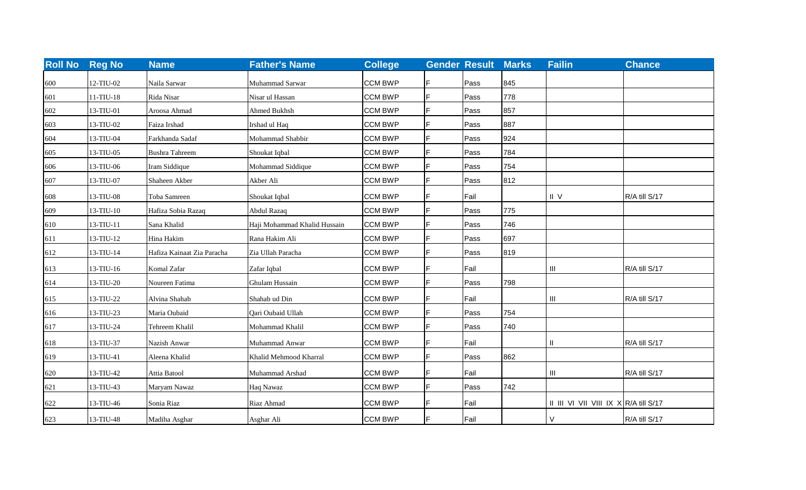| <b>Roll No</b> | <b>Reg No</b> | <b>Name</b>                | <b>Father's Name</b>         | <b>College</b> | <b>Gender Result</b> |      | <b>Marks</b> | <b>Failin</b>                         | <b>Chance</b> |
|----------------|---------------|----------------------------|------------------------------|----------------|----------------------|------|--------------|---------------------------------------|---------------|
| 600            | 12-TIU-02     | Naila Sarwar               | Muhammad Sarwar              | <b>CCM BWP</b> |                      | Pass | 845          |                                       |               |
| 601            | $11-TIU-18$   | Rida Nisar                 | Nisar ul Hassan              | <b>CCM BWP</b> |                      | Pass | 778          |                                       |               |
| 602            | 13-TIU-01     | Aroosa Ahmad               | Ahmed Bukhsh                 | <b>CCM BWP</b> | IF                   | Pass | 857          |                                       |               |
| 603            | 13-TIU-02     | Faiza Irshad               | Irshad ul Haq                | <b>CCM BWP</b> |                      | Pass | 887          |                                       |               |
| 604            | 13-TIU-04     | Farkhanda Sadaf            | Mohammad Shabbir             | <b>CCM BWP</b> |                      | Pass | 924          |                                       |               |
| 605            | 13-TIU-05     | <b>Bushra Tahreem</b>      | Shoukat Iqbal                | <b>CCM BWP</b> |                      | Pass | 784          |                                       |               |
| 606            | 13-TIU-06     | Iram Siddique              | Mohammad Siddique            | <b>CCM BWP</b> |                      | Pass | 754          |                                       |               |
| 607            | 13-TIU-07     | Shaheen Akber              | Akber Ali                    | <b>CCM BWP</b> |                      | Pass | 812          |                                       |               |
| 608            | 13-TIU-08     | Toba Samreen               | Shoukat Iqbal                | <b>CCM BWP</b> |                      | Fail |              | $II$ V                                | R/A till S/17 |
| 609            | 13-TIU-10     | Hafiza Sobia Razaq         | <b>Abdul Razaq</b>           | <b>CCM BWP</b> |                      | Pass | 775          |                                       |               |
| 610            | 13-TIU-11     | Sana Khalid                | Haji Mohammad Khalid Hussain | <b>CCM BWP</b> |                      | Pass | 746          |                                       |               |
| 611            | 13-TIU-12     | Hina Hakim                 | Rana Hakim Ali               | <b>CCM BWP</b> |                      | Pass | 697          |                                       |               |
| 612            | 13-TIU-14     | Hafiza Kainaat Zia Paracha | Zia Ullah Paracha            | <b>CCM BWP</b> |                      | Pass | 819          |                                       |               |
| 613            | 13-TIU-16     | Komal Zafar                | Zafar Iqbal                  | <b>CCM BWP</b> |                      | Fail |              | $\ensuremath{\mathsf{III}}\xspace$    | R/A till S/17 |
| 614            | 13-TIU-20     | Noureen Fatima             | Ghulam Hussain               | <b>CCM BWP</b> |                      | Pass | 798          |                                       |               |
| 615            | 13-TIU-22     | Alvina Shahab              | Shahab ud Din                | <b>CCM BWP</b> |                      | Fail |              | $\ensuremath{\mathsf{III}}\xspace$    | R/A till S/17 |
| 616            | 13-TIU-23     | Maria Oubaid               | Qari Oubaid Ullah            | <b>CCM BWP</b> |                      | Pass | 754          |                                       |               |
| 617            | 13-TIU-24     | Tehreem Khalil             | Mohammad Khalil              | <b>CCM BWP</b> |                      | Pass | 740          |                                       |               |
| 618            | 13-TIU-37     | Nazish Anwar               | Muhammad Anwar               | <b>CCM BWP</b> |                      | Fail |              | Ш                                     | R/A till S/17 |
| 619            | 13-TIU-41     | Aleena Khalid              | Khalid Mehmood Kharral       | <b>CCM BWP</b> |                      | Pass | 862          |                                       |               |
| 620            | 13-TIU-42     | Attia Batool               | Muhammad Arshad              | <b>CCM BWP</b> |                      | Fail |              | $\ensuremath{\mathsf{III}}\xspace$    | R/A till S/17 |
| 621            | 13-TIU-43     | Maryam Nawaz               | Haq Nawaz                    | <b>CCM BWP</b> |                      | Pass | 742          |                                       |               |
| 622            | 13-TIU-46     | Sonia Riaz                 | Riaz Ahmad                   | <b>CCM BWP</b> |                      | Fail |              | II III VI VII VIII IX X R/A till S/17 |               |
| 623            | 13-TIU-48     | Madiha Asghar              | Asghar Ali                   | <b>CCM BWP</b> |                      | Fail |              | $\mathsf{V}$                          | R/A till S/17 |